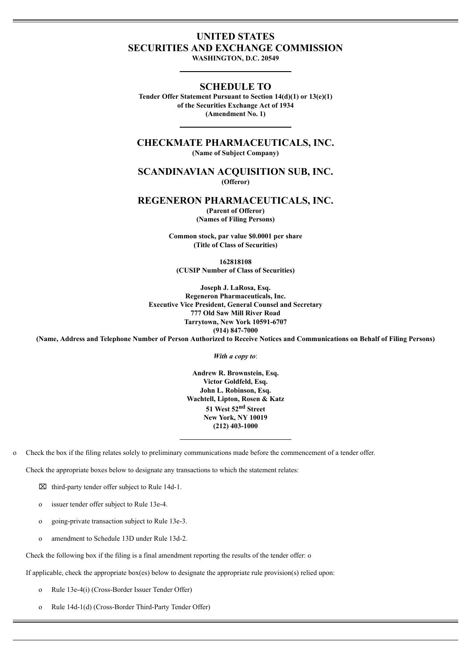# **UNITED STATES SECURITIES AND EXCHANGE COMMISSION**

**WASHINGTON, D.C. 20549**

### **SCHEDULE TO**

**Tender Offer Statement Pursuant to Section 14(d)(1) or 13(e)(1) of the Securities Exchange Act of 1934 (Amendment No. 1)**

**CHECKMATE PHARMACEUTICALS, INC. (Name of Subject Company)**

## **SCANDINAVIAN ACQUISITION SUB, INC. (Offeror)**

**REGENERON PHARMACEUTICALS, INC.**

**(Parent of Offeror) (Names of Filing Persons)**

**Common stock, par value \$0.0001 per share (Title of Class of Securities)**

**162818108 (CUSIP Number of Class of Securities)**

**Joseph J. LaRosa, Esq. Regeneron Pharmaceuticals, Inc. Executive Vice President, General Counsel and Secretary 777 Old Saw Mill River Road Tarrytown, New York 10591-6707 (914) 847-7000**

(Name, Address and Telephone Number of Person Authorized to Receive Notices and Communications on Behalf of Filing Persons)

*With a copy to*:

**Andrew R. Brownstein, Esq. Victor Goldfeld, Esq. John L. Robinson, Esq. Wachtell, Lipton, Rosen & Katz 51 West 52 nd Street New York, NY 10019 (212) 403-1000**

o Check the box if the filing relates solely to preliminary communications made before the commencement of a tender offer.

Check the appropriate boxes below to designate any transactions to which the statement relates:

⌧ third-party tender offer subject to Rule 14d-1.

o issuer tender offer subject to Rule 13e-4.

o going-private transaction subject to Rule 13e-3.

o amendment to Schedule 13D under Rule 13d-2.

Check the following box if the filing is a final amendment reporting the results of the tender offer: o

If applicable, check the appropriate box(es) below to designate the appropriate rule provision(s) relied upon:

o Rule 13e-4(i) (Cross-Border Issuer Tender Offer)

o Rule 14d-1(d) (Cross-Border Third-Party Tender Offer)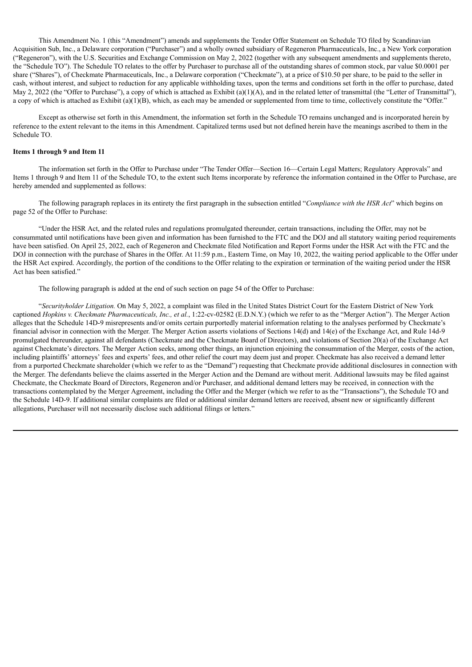This Amendment No. 1 (this "Amendment") amends and supplements the Tender Offer Statement on Schedule TO filed by Scandinavian Acquisition Sub, Inc., a Delaware corporation ("Purchaser") and a wholly owned subsidiary of Regeneron Pharmaceuticals, Inc., a New York corporation ("Regeneron"), with the U.S. Securities and Exchange Commission on May 2, 2022 (together with any subsequent amendments and supplements thereto, the "Schedule TO"). The Schedule TO relates to the offer by Purchaser to purchase all of the outstanding shares of common stock, par value \$0.0001 per share ("Shares"), of Checkmate Pharmaceuticals, Inc., a Delaware corporation ("Checkmate"), at a price of \$10.50 per share, to be paid to the seller in cash, without interest, and subject to reduction for any applicable withholding taxes, upon the terms and conditions set forth in the offer to purchase, dated May 2, 2022 (the "Offer to Purchase"), a copy of which is attached as Exhibit (a)(1)(A), and in the related letter of transmittal (the "Letter of Transmittal"), a copy of which is attached as Exhibit (a)(1)(B), which, as each may be amended or supplemented from time to time, collectively constitute the "Offer."

Except as otherwise set forth in this Amendment, the information set forth in the Schedule TO remains unchanged and is incorporated herein by reference to the extent relevant to the items in this Amendment. Capitalized terms used but not defined herein have the meanings ascribed to them in the Schedule TO.

#### **Items 1 through 9 and Item 11**

The information set forth in the Offer to Purchase under "The Tender Offer—Section 16—Certain Legal Matters; Regulatory Approvals" and Items 1 through 9 and Item 11 of the Schedule TO, to the extent such Items incorporate by reference the information contained in the Offer to Purchase, are hereby amended and supplemented as follows:

The following paragraph replaces in its entirety the first paragraph in the subsection entitled "*Compliance with the HSR Act*" which begins on page 52 of the Offer to Purchase:

"Under the HSR Act, and the related rules and regulations promulgated thereunder, certain transactions, including the Offer, may not be consummated until notifications have been given and information has been furnished to the FTC and the DOJ and all statutory waiting period requirements have been satisfied. On April 25, 2022, each of Regeneron and Checkmate filed Notification and Report Forms under the HSR Act with the FTC and the DOJ in connection with the purchase of Shares in the Offer. At 11:59 p.m., Eastern Time, on May 10, 2022, the waiting period applicable to the Offer under the HSR Act expired. Accordingly, the portion of the conditions to the Offer relating to the expiration or termination of the waiting period under the HSR Act has been satisfied."

The following paragraph is added at the end of such section on page 54 of the Offer to Purchase:

"*Securityholder Litigation.* On May 5, 2022, a complaint was filed in the United States District Court for the Eastern District of New York captioned *Hopkins v. Checkmate Pharmaceuticals, Inc., et al.*, 1:22-cv-02582 (E.D.N.Y.) (which we refer to as the "Merger Action"). The Merger Action alleges that the Schedule 14D-9 misrepresents and/or omits certain purportedly material information relating to the analyses performed by Checkmate's financial advisor in connection with the Merger. The Merger Action asserts violations of Sections 14(d) and 14(e) of the Exchange Act, and Rule 14d-9 promulgated thereunder, against all defendants (Checkmate and the Checkmate Board of Directors), and violations of Section 20(a) of the Exchange Act against Checkmate's directors. The Merger Action seeks, among other things, an injunction enjoining the consummation of the Merger, costs of the action, including plaintiffs' attorneys' fees and experts' fees, and other relief the court may deem just and proper. Checkmate has also received a demand letter from a purported Checkmate shareholder (which we refer to as the "Demand") requesting that Checkmate provide additional disclosures in connection with the Merger. The defendants believe the claims asserted in the Merger Action and the Demand are without merit. Additional lawsuits may be filed against Checkmate, the Checkmate Board of Directors, Regeneron and/or Purchaser, and additional demand letters may be received, in connection with the transactions contemplated by the Merger Agreement, including the Offer and the Merger (which we refer to as the "Transactions"), the Schedule TO and the Schedule 14D-9. If additional similar complaints are filed or additional similar demand letters are received, absent new or significantly different allegations, Purchaser will not necessarily disclose such additional filings or letters."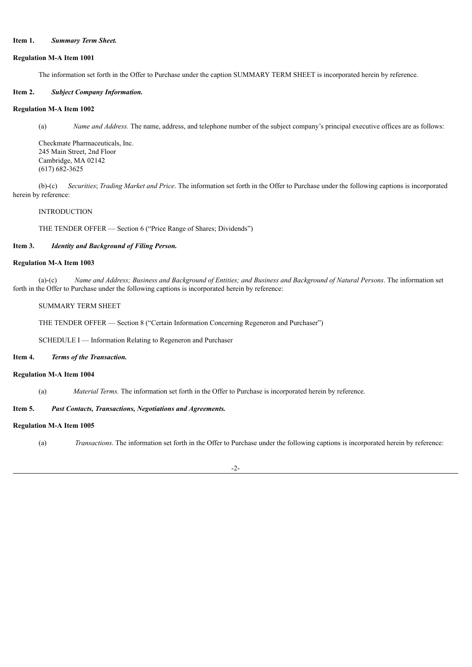### **Item 1.** *Summary Term Sheet.*

#### **Regulation M-A Item 1001**

The information set forth in the Offer to Purchase under the caption SUMMARY TERM SHEET is incorporated herein by reference.

### **Item 2.** *Subject Company Information.*

### **Regulation M-A Item 1002**

(a) *Name and Address.* The name, address, and telephone number of the subject company's principal executive offices are as follows:

Checkmate Pharmaceuticals, Inc. 245 Main Street, 2nd Floor Cambridge, MA 02142 (617) 682-3625

(b)-(c) *Securities*; *Trading Market and Price*. The information set forth in the Offer to Purchase under the following captions is incorporated herein by reference:

#### INTRODUCTION

THE TENDER OFFER — Section 6 ("Price Range of Shares; Dividends")

### **Item 3.** *Identity and Background of Filing Person.*

### **Regulation M-A Item 1003**

(a)-(c) Name and Address; Business and Background of Entities; and Business and Background of Natural Persons. The information set forth in the Offer to Purchase under the following captions is incorporated herein by reference:

#### SUMMARY TERM SHEET

THE TENDER OFFER — Section 8 ("Certain Information Concerning Regeneron and Purchaser")

SCHEDULE I — Information Relating to Regeneron and Purchaser

### **Item 4.** *Terms of the Transaction.*

#### **Regulation M-A Item 1004**

(a) *Material Terms.* The information set forth in the Offer to Purchase is incorporated herein by reference.

#### **Item 5.** *Past Contacts, Transactions, Negotiations and Agreements.*

#### **Regulation M-A Item 1005**

(a) *Transactions*. The information set forth in the Offer to Purchase under the following captions is incorporated herein by reference:

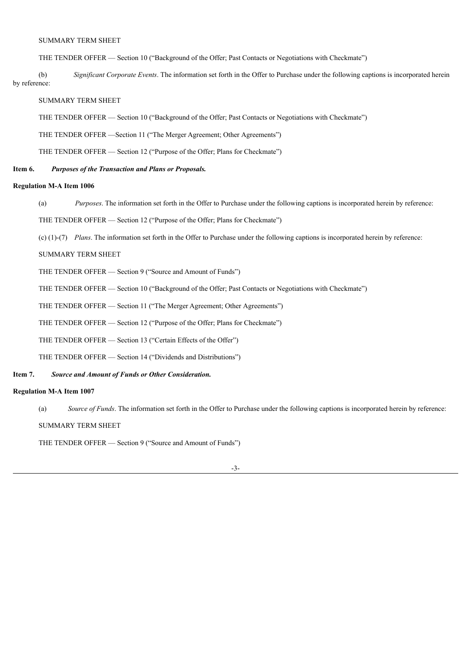### SUMMARY TERM SHEET

THE TENDER OFFER — Section 10 ("Background of the Offer; Past Contacts or Negotiations with Checkmate")

(b) *Significant Corporate Events*. The information set forth in the Offer to Purchase under the following captions is incorporated herein by reference:

### SUMMARY TERM SHEET

THE TENDER OFFER — Section 10 ("Background of the Offer; Past Contacts or Negotiations with Checkmate")

THE TENDER OFFER —Section 11 ("The Merger Agreement; Other Agreements")

THE TENDER OFFER — Section 12 ("Purpose of the Offer; Plans for Checkmate")

#### **Item 6.** *Purposes of the Transaction and Plans or Proposals.*

### **Regulation M-A Item 1006**

(a) *Purposes*. The information set forth in the Offer to Purchase under the following captions is incorporated herein by reference:

THE TENDER OFFER — Section 12 ("Purpose of the Offer; Plans for Checkmate")

(c) (1)-(7) *Plans*. The information set forth in the Offer to Purchase under the following captions is incorporated herein by reference:

### SUMMARY TERM SHEET

THE TENDER OFFER — Section 9 ("Source and Amount of Funds")

THE TENDER OFFER — Section 10 ("Background of the Offer; Past Contacts or Negotiations with Checkmate")

THE TENDER OFFER — Section 11 ("The Merger Agreement; Other Agreements")

THE TENDER OFFER — Section 12 ("Purpose of the Offer; Plans for Checkmate")

THE TENDER OFFER — Section 13 ("Certain Effects of the Offer")

THE TENDER OFFER — Section 14 ("Dividends and Distributions")

#### **Item 7.** *Source and Amount of Funds or Other Consideration.*

#### **Regulation M-A Item 1007**

(a) *Source of Funds*. The information set forth in the Offer to Purchase under the following captions is incorporated herein by reference:

SUMMARY TERM SHEET

THE TENDER OFFER — Section 9 ("Source and Amount of Funds")

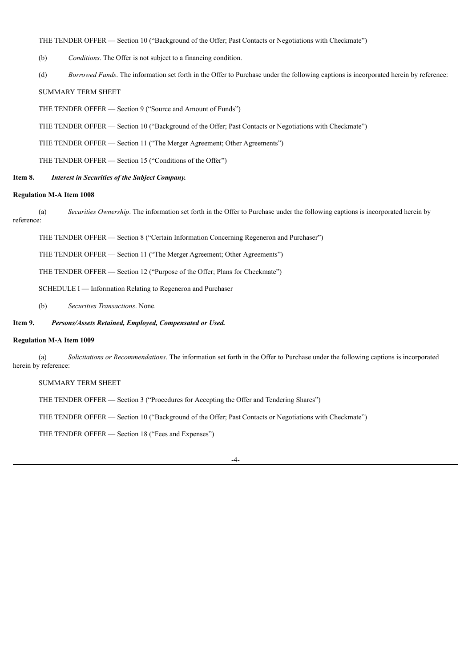### THE TENDER OFFER — Section 10 ("Background of the Offer; Past Contacts or Negotiations with Checkmate")

- (b) *Conditions*. The Offer is not subject to a financing condition.
- (d) *Borrowed Funds*. The information set forth in the Offer to Purchase under the following captions is incorporated herein by reference:

### SUMMARY TERM SHEET

THE TENDER OFFER — Section 9 ("Source and Amount of Funds")

THE TENDER OFFER — Section 10 ("Background of the Offer; Past Contacts or Negotiations with Checkmate")

THE TENDER OFFER — Section 11 ("The Merger Agreement; Other Agreements")

THE TENDER OFFER — Section 15 ("Conditions of the Offer")

#### **Item 8.** *Interest in Securities of the Subject Company.*

#### **Regulation M-A Item 1008**

(a) *Securities Ownership*. The information set forth in the Offer to Purchase under the following captions is incorporated herein by reference:

THE TENDER OFFER — Section 8 ("Certain Information Concerning Regeneron and Purchaser")

THE TENDER OFFER — Section 11 ("The Merger Agreement; Other Agreements")

THE TENDER OFFER — Section 12 ("Purpose of the Offer; Plans for Checkmate")

SCHEDULE I — Information Relating to Regeneron and Purchaser

(b) *Securities Transactions*. None.

### **Item 9.** *Persons/Assets Retained, Employed, Compensated or Used.*

#### **Regulation M-A Item 1009**

(a) *Solicitations or Recommendations*. The information set forth in the Offer to Purchase under the following captions is incorporated herein by reference:

SUMMARY TERM SHEET

THE TENDER OFFER — Section 3 ("Procedures for Accepting the Offer and Tendering Shares")

THE TENDER OFFER — Section 10 ("Background of the Offer; Past Contacts or Negotiations with Checkmate")

THE TENDER OFFER — Section 18 ("Fees and Expenses")

#### -4-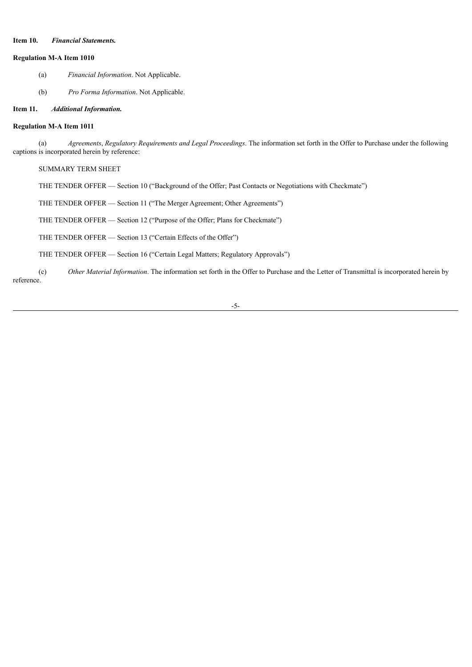### **Item 10.** *Financial Statements.*

#### **Regulation M-A Item 1010**

- (a) *Financial Information*. Not Applicable.
- (b) *Pro Forma Information*. Not Applicable.

### **Item 11.** *Additional Information.*

### **Regulation M-A Item 1011**

(a) *Agreements*, *Regulatory Requirements and Legal Proceedings*. The information set forth in the Offer to Purchase under the following captions is incorporated herein by reference:

#### SUMMARY TERM SHEET

THE TENDER OFFER — Section 10 ("Background of the Offer; Past Contacts or Negotiations with Checkmate")

THE TENDER OFFER — Section 11 ("The Merger Agreement; Other Agreements")

THE TENDER OFFER — Section 12 ("Purpose of the Offer; Plans for Checkmate")

THE TENDER OFFER — Section 13 ("Certain Effects of the Offer")

THE TENDER OFFER — Section 16 ("Certain Legal Matters; Regulatory Approvals")

(c) *Other Material Information*. The information set forth in the Offer to Purchase and the Letter of Transmittal is incorporated herein by reference.

#### -5-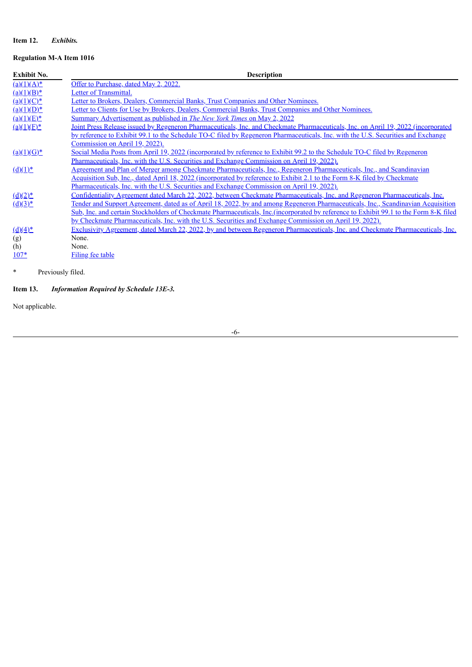# **Item 12.** *Exhibits.*

# **Regulation M-A Item 1016**

| <b>Exhibit No.</b>     | <b>Description</b>                                                                                                                     |
|------------------------|----------------------------------------------------------------------------------------------------------------------------------------|
| $(a)(1)(A)^*$          | Offer to Purchase, dated May 2, 2022.                                                                                                  |
| $(a)(1)(B)^*$          | Letter of Transmittal.                                                                                                                 |
| $(a)(1)(C)^*$          | Letter to Brokers, Dealers, Commercial Banks, Trust Companies and Other Nominees.                                                      |
| $(a)(1)(D)^*$          | Letter to Clients for Use by Brokers, Dealers, Commercial Banks, Trust Companies and Other Nominees.                                   |
| $(a)(1)(E)^*$          | Summary Advertisement as published in <i>The New York Times</i> on May 2, 2022                                                         |
| $(a)(1)(E)^*$          | Joint Press Release issued by Regeneron Pharmaceuticals, Inc. and Checkmate Pharmaceuticals, Inc. on April 19, 2022 (incorporated      |
|                        | by reference to Exhibit 99.1 to the Schedule TO-C filed by Regeneron Pharmaceuticals, Inc. with the U.S. Securities and Exchange       |
|                        | Commission on April 19, 2022).                                                                                                         |
| $(a)(1)(G)^*$          | Social Media Posts from April 19, 2022 (incorporated by reference to Exhibit 99.2 to the Schedule TO-C filed by Regeneron              |
|                        | Pharmaceuticals, Inc. with the U.S. Securities and Exchange Commission on April 19, 2022).                                             |
| $(d)(1)^*$             | <u>Agreement and Plan of Merger among Checkmate Pharmaceuticals, Inc., Regeneron Pharmaceuticals, Inc., and Scandinavian</u>           |
|                        | <u>Acquisition Sub, Inc., dated April 18, 2022 (incorporated by reference to Exhibit 2.1 to the Form 8-K filed by Checkmate</u>        |
|                        | Pharmaceuticals, Inc. with the U.S. Securities and Exchange Commission on April 19, 2022).                                             |
| $(d)(2)^*$             | Confidentiality Agreement dated March 22, 2022, between Checkmate Pharmaceuticals, Inc. and Regeneron Pharmaceuticals, Inc.            |
| $(d)(3)^*$             | Tender and Support Agreement, dated as of April 18, 2022, by and among Regeneron Pharmaceuticals, Inc., Scandinavian Acquisition       |
|                        | Sub, Inc. and certain Stockholders of Checkmate Pharmaceuticals, Inc. (incorporated by reference to Exhibit 99.1 to the Form 8-K filed |
|                        | by Checkmate Pharmaceuticals, Inc. with the U.S. Securities and Exchange Commission on April 19, 2022).                                |
| $\underline{(d)(4)^*}$ | Exclusivity Agreement, dated March 22, 2022, by and between Regeneron Pharmaceuticals, Inc. and Checkmate Pharmaceuticals, Inc.        |
| (g)                    | None.                                                                                                                                  |
| (h)                    | None.                                                                                                                                  |
| $107*$                 | Filing fee table                                                                                                                       |
|                        |                                                                                                                                        |

\* Previously filed.

# **Item 13.** *Information Required by Schedule 13E-3.*

Not applicable.

-6-